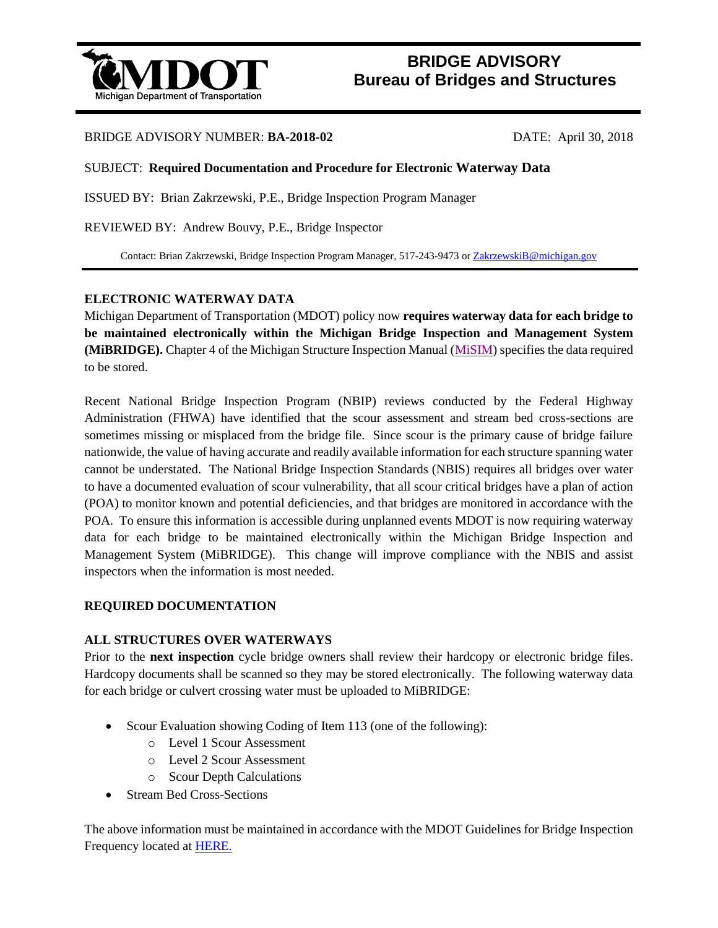

# **BRIDGE ADVISORY Bureau of Bridges and Structures**

### BRIDGE ADVISORY NUMBER: **BA-2018-02** DATE: April 30, 2018

#### SUBJECT: **Required Documentation and Procedure for Electronic Waterway Data**

ISSUED BY: Brian Zakrzewski, P.E., Bridge Inspection Program Manager

REVIEWED BY: Andrew Bouvy, P.E., Bridge Inspector

Contact: Brian Zakrzewski, Bridge Inspection Program Manager, 517-243-9473 o[r ZakrzewskiB@michigan.gov](mailto:ZakrzewskiB@michigan.gov)

#### **ELECTRONIC WATERWAY DATA**

Michigan Department of Transportation (MDOT) policy now **requires waterway data for each bridge to be maintained electronically within the Michigan Bridge Inspection and Management System (MiBRIDGE).** Chapter 4 of the Michigan Structure Inspection Manual [\(MiSIM\)](https://www.michigan.gov/mdot/0,4616,7-151-9625_24768_24773_59525-326737--,00.html) specifies the data required to be stored.

Recent National Bridge Inspection Program (NBIP) reviews conducted by the Federal Highway Administration (FHWA) have identified that the scour assessment and stream bed cross-sections are sometimes missing or misplaced from the bridge file. Since scour is the primary cause of bridge failure nationwide, the value of having accurate and readily available information for each structure spanning water cannot be understated. The National Bridge Inspection Standards (NBIS) requires all bridges over water to have a documented evaluation of scour vulnerability, that all scour critical bridges have a plan of action (POA) to monitor known and potential deficiencies, and that bridges are monitored in accordance with the POA. To ensure this information is accessible during unplanned events MDOT is now requiring waterway data for each bridge to be maintained electronically within the Michigan Bridge Inspection and Management System (MiBRIDGE). This change will improve compliance with the NBIS and assist inspectors when the information is most needed.

#### **REQUIRED DOCUMENTATION**

#### **ALL STRUCTURES OVER WATERWAYS**

Prior to the **next inspection** cycle bridge owners shall review their hardcopy or electronic bridge files. Hardcopy documents shall be scanned so they may be stored electronically. The following waterway data for each bridge or culvert crossing water must be uploaded to MiBRIDGE:

- Scour Evaluation showing Coding of Item 113 (one of the following):
	- o Level 1 Scour Assessment
	- o Level 2 Scour Assessment
	- o Scour Depth Calculations
- Stream Bed Cross-Sections

The above information must be maintained in accordance with the MDOT Guidelines for Bridge Inspection Frequency located at [HERE.](https://www.michigan.gov/documents/mdot/BridgeInspectionFrequencies_COMBINED_2017-11-15_606650_7.pdf)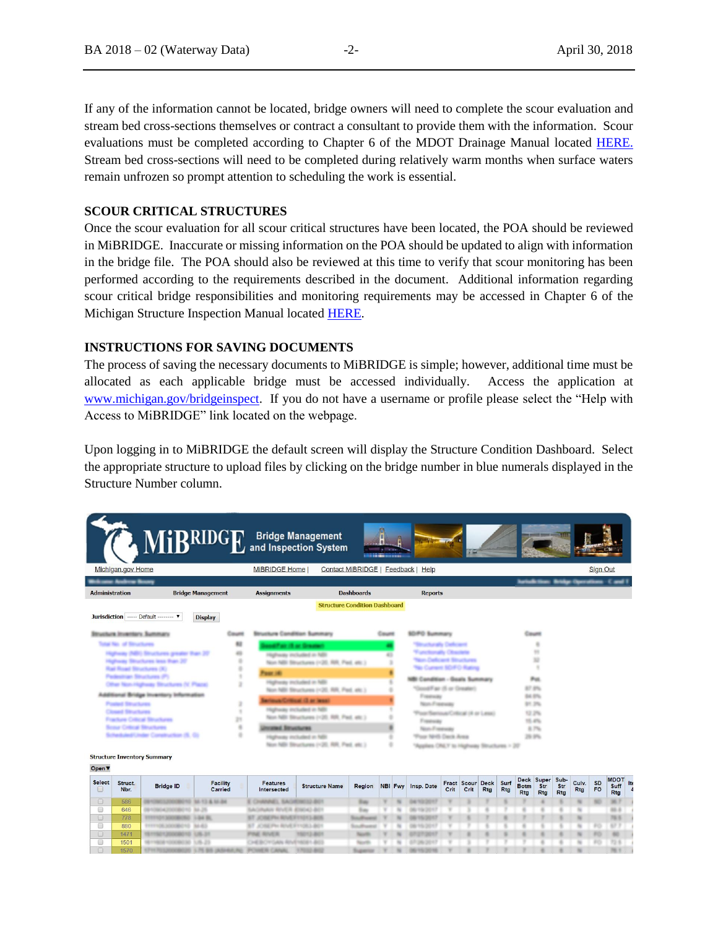If any of the information cannot be located, bridge owners will need to complete the scour evaluation and stream bed cross-sections themselves or contract a consultant to provide them with the information. Scour evaluations must be completed according to Chapter 6 of the MDOT Drainage Manual located [HERE.](https://www.michigan.gov/stormwatermgt/0,1607,7-205--93193--,00.html)  Stream bed cross-sections will need to be completed during relatively warm months when surface waters remain unfrozen so prompt attention to scheduling the work is essential.

#### **SCOUR CRITICAL STRUCTURES**

Once the scour evaluation for all scour critical structures have been located, the POA should be reviewed in MiBRIDGE. Inaccurate or missing information on the POA should be updated to align with information in the bridge file. The POA should also be reviewed at this time to verify that scour monitoring has been performed according to the requirements described in the document. Additional information regarding scour critical bridge responsibilities and monitoring requirements may be accessed in Chapter 6 of the Michigan Structure Inspection Manual located [HERE.](https://www.michigan.gov/mdot/0,4616,7-151-9625_24768_24773_59525-326737--,00.html)

## **INSTRUCTIONS FOR SAVING DOCUMENTS**

The process of saving the necessary documents to MiBRIDGE is simple; however, additional time must be allocated as each applicable bridge must be accessed individually. Access the application at [www.michigan.gov/bridgeinspect.](http://www.michigan.gov/bridgeinspect) If you do not have a username or profile please select the "Help with Access to MiBRIDGE" link located on the webpage.

Upon logging in to MiBRIDGE the default screen will display the Structure Condition Dashboard. Select the appropriate structure to upload files by clicking on the bridge number in blue numerals displayed in the Structure Number column.